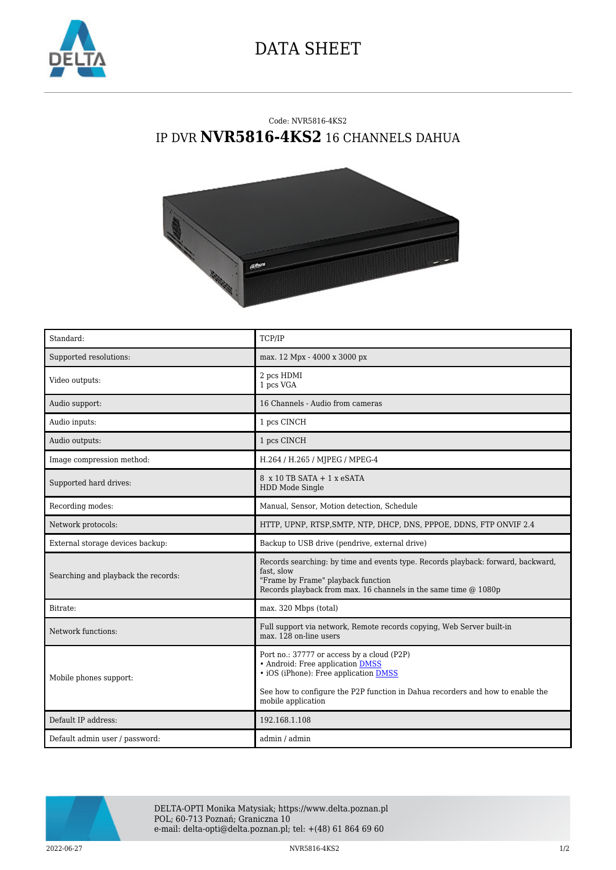

## DATA SHEET

## Code: NVR5816-4KS2 IP DVR **NVR5816-4KS2** 16 CHANNELS DAHUA



| Standard:                           | TCP/IP                                                                                                                                                                                                                          |
|-------------------------------------|---------------------------------------------------------------------------------------------------------------------------------------------------------------------------------------------------------------------------------|
| Supported resolutions:              | max. 12 Mpx - 4000 x 3000 px                                                                                                                                                                                                    |
| Video outputs:                      | 2 pcs HDMI<br>1 pcs VGA                                                                                                                                                                                                         |
| Audio support:                      | 16 Channels - Audio from cameras                                                                                                                                                                                                |
| Audio inputs:                       | 1 pcs CINCH                                                                                                                                                                                                                     |
| Audio outputs:                      | 1 pcs CINCH                                                                                                                                                                                                                     |
| Image compression method:           | H.264 / H.265 / MJPEG / MPEG-4                                                                                                                                                                                                  |
| Supported hard drives:              | $8 \times 10$ TB SATA + 1 $\times$ eSATA<br>HDD Mode Single                                                                                                                                                                     |
| Recording modes:                    | Manual, Sensor, Motion detection, Schedule                                                                                                                                                                                      |
| Network protocols:                  | HTTP, UPNP, RTSP, SMTP, NTP, DHCP, DNS, PPPOE, DDNS, FTP ONVIF 2.4                                                                                                                                                              |
| External storage devices backup:    | Backup to USB drive (pendrive, external drive)                                                                                                                                                                                  |
| Searching and playback the records: | Records searching: by time and events type. Records playback: forward, backward,<br>fast, slow<br>"Frame by Frame" playback function<br>Records playback from max. 16 channels in the same time @ 1080p                         |
| Bitrate:                            | max. 320 Mbps (total)                                                                                                                                                                                                           |
| Network functions:                  | Full support via network, Remote records copying, Web Server built-in<br>max. 128 on-line users                                                                                                                                 |
| Mobile phones support:              | Port no.: 37777 or access by a cloud (P2P)<br>• Android: Free application DMSS<br>• iOS (iPhone): Free application DMSS<br>See how to configure the P2P function in Dahua recorders and how to enable the<br>mobile application |
| Default IP address:                 | 192.168.1.108                                                                                                                                                                                                                   |
| Default admin user / password:      | admin / admin                                                                                                                                                                                                                   |



DELTA-OPTI Monika Matysiak; https://www.delta.poznan.pl POL; 60-713 Poznań; Graniczna 10 e-mail: delta-opti@delta.poznan.pl; tel: +(48) 61 864 69 60